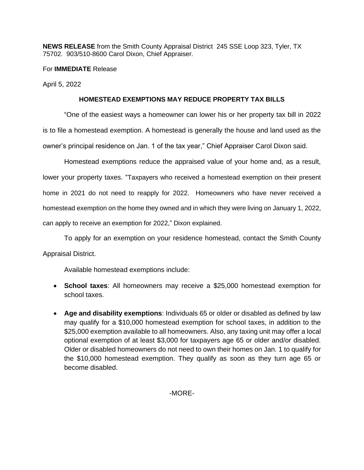**NEWS RELEASE** from the Smith County Appraisal District 245 SSE Loop 323, Tyler, TX 75702. 903/510-8600 Carol Dixon, Chief Appraiser.

For **IMMEDIATE** Release

April 5, 2022

## **HOMESTEAD EXEMPTIONS MAY REDUCE PROPERTY TAX BILLS**

"One of the easiest ways a homeowner can lower his or her property tax bill in 2022 is to file a homestead exemption. A homestead is generally the house and land used as the owner's principal residence on Jan. 1 of the tax year," Chief Appraiser Carol Dixon said.

Homestead exemptions reduce the appraised value of your home and, as a result, lower your property taxes. "Taxpayers who received a homestead exemption on their present home in 2021 do not need to reapply for 2022. Homeowners who have never received a homestead exemption on the home they owned and in which they were living on January 1, 2022, can apply to receive an exemption for 2022," Dixon explained.

To apply for an exemption on your residence homestead, contact the Smith County Appraisal District.

Available homestead exemptions include:

- **School taxes**: All homeowners may receive a \$25,000 homestead exemption for school taxes.
- **Age and disability exemptions**: Individuals 65 or older or disabled as defined by law may qualify for a \$10,000 homestead exemption for school taxes, in addition to the \$25,000 exemption available to all homeowners. Also, any taxing unit may offer a local optional exemption of at least \$3,000 for taxpayers age 65 or older and/or disabled. Older or disabled homeowners do not need to own their homes on Jan. 1 to qualify for the \$10,000 homestead exemption. They qualify as soon as they turn age 65 or become disabled.

-MORE-